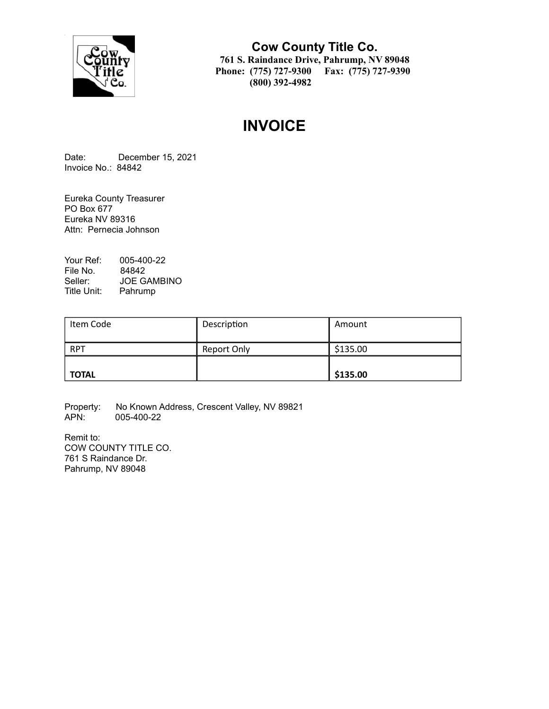

## **Cow County Title Co. 761 S. Raindance Drive, Pahrump, NV 89048 Phone: (775) 727-9300 Fax: (775) 727-9390 (800) 392-4982**

# **INVOICE**

Date: December 15, 2021 Invoice No.: 84842

Eureka County Treasurer PO Box 677 Eureka NV 89316 Attn: Pernecia Johnson

Your Ref: 005-400-22 File No. 84842<br>Seller: JOE G/ JOE GAMBINO Title Unit: Pahrump

| Item Code    | Description | Amount   |
|--------------|-------------|----------|
| <b>RPT</b>   | Report Only | \$135.00 |
| <b>TOTAL</b> |             | \$135.00 |

Property: No Known Address, Crescent Valley, NV 89821<br>APN: 005-400-22 005-400-22

Remit to: COW COUNTY TITLE CO. 761 S Raindance Dr. Pahrump, NV 89048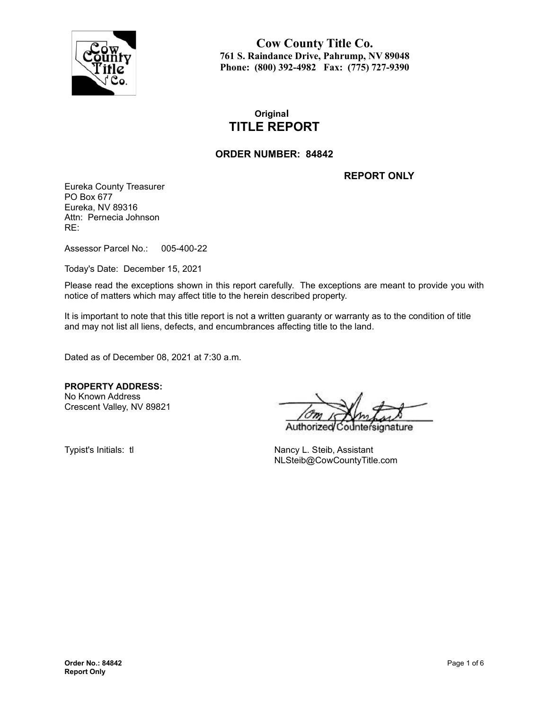

**Cow County Title Co. 761 S. Raindance Drive, Pahrump, NV 89048 Phone: (800) 392-4982 Fax: (775) 727-9390**

## **Original TITLE REPORT**

#### **ORDER NUMBER: 84842**

**REPORT ONLY**

Eureka County Treasurer PO Box 677 Eureka, NV 89316 Attn: Pernecia Johnson RE:

Assessor Parcel No.: 005-400-22

Today's Date: December 15, 2021

Please read the exceptions shown in this report carefully. The exceptions are meant to provide you with notice of matters which may affect title to the herein described property.

It is important to note that this title report is not a written guaranty or warranty as to the condition of title and may not list all liens, defects, and encumbrances affecting title to the land.

Dated as of December 08, 2021 at 7:30 a.m.

**PROPERTY ADDRESS:** No Known Address

Crescent Valley, NV 89821

Authorize nature

Typist's Initials: tl Nancy L. Steib, Assistant NLSteib@CowCountyTitle.com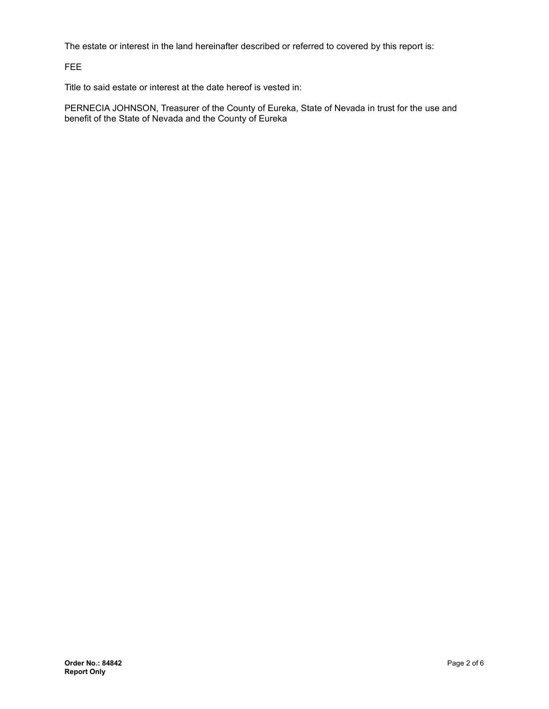The estate or interest in the land hereinafter described or referred to covered by this report is:

FEE

Title to said estate or interest at the date hereof is vested in:

PERNECIA JOHNSON, Treasurer of the County of Eureka, State of Nevada in trust for the use and benefit of the State of Nevada and the County of Eureka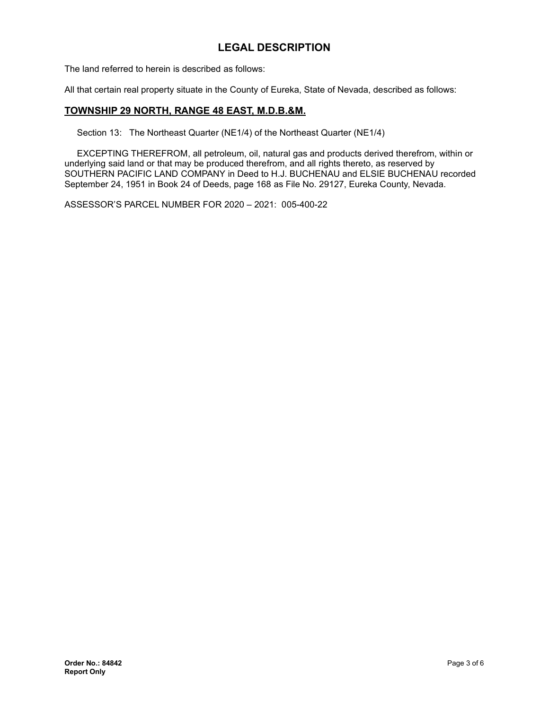## **LEGAL DESCRIPTION**

The land referred to herein is described as follows:

All that certain real property situate in the County of Eureka, State of Nevada, described as follows:

#### **TOWNSHIP 29 NORTH, RANGE 48 EAST, M.D.B.&M.**

Section 13: The Northeast Quarter (NE1/4) of the Northeast Quarter (NE1/4)

EXCEPTING THEREFROM, all petroleum, oil, natural gas and products derived therefrom, within or underlying said land or that may be produced therefrom, and all rights thereto, as reserved by SOUTHERN PACIFIC LAND COMPANY in Deed to H.J. BUCHENAU and ELSIE BUCHENAU recorded September 24, 1951 in Book 24 of Deeds, page 168 as File No. 29127, Eureka County, Nevada.

ASSESSOR'S PARCEL NUMBER FOR 2020 – 2021: 005-400-22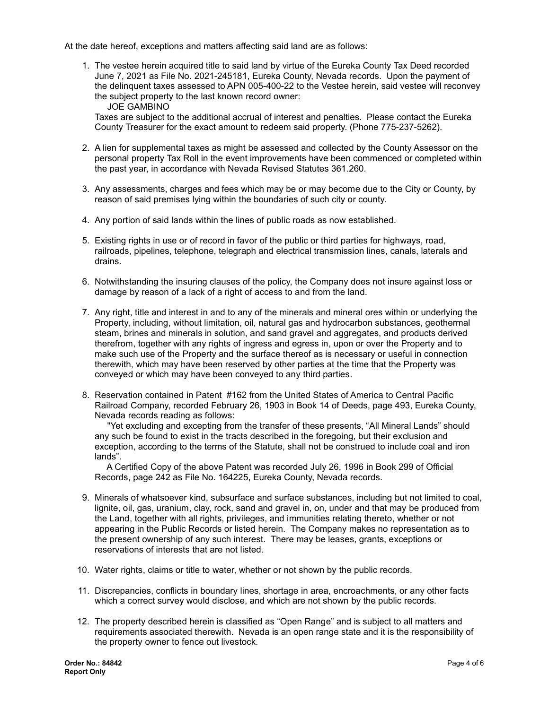At the date hereof, exceptions and matters affecting said land are as follows:

1. The vestee herein acquired title to said land by virtue of the Eureka County Tax Deed recorded June 7, 2021 as File No. 2021-245181, Eureka County, Nevada records. Upon the payment of the delinquent taxes assessed to APN 005-400-22 to the Vestee herein, said vestee will reconvey the subject property to the last known record owner: JOE GAMBINO

Taxes are subject to the additional accrual of interest and penalties. Please contact the Eureka County Treasurer for the exact amount to redeem said property. (Phone 775-237-5262).

- 2. A lien for supplemental taxes as might be assessed and collected by the County Assessor on the personal property Tax Roll in the event improvements have been commenced or completed within the past year, in accordance with Nevada Revised Statutes 361.260.
- 3. Any assessments, charges and fees which may be or may become due to the City or County, by reason of said premises lying within the boundaries of such city or county.
- 4. Any portion of said lands within the lines of public roads as now established.
- 5. Existing rights in use or of record in favor of the public or third parties for highways, road, railroads, pipelines, telephone, telegraph and electrical transmission lines, canals, laterals and drains.
- 6. Notwithstanding the insuring clauses of the policy, the Company does not insure against loss or damage by reason of a lack of a right of access to and from the land.
- 7. Any right, title and interest in and to any of the minerals and mineral ores within or underlying the Property, including, without limitation, oil, natural gas and hydrocarbon substances, geothermal steam, brines and minerals in solution, and sand gravel and aggregates, and products derived therefrom, together with any rights of ingress and egress in, upon or over the Property and to make such use of the Property and the surface thereof as is necessary or useful in connection therewith, which may have been reserved by other parties at the time that the Property was conveyed or which may have been conveyed to any third parties.
- 8. Reservation contained in Patent #162 from the United States of America to Central Pacific Railroad Company, recorded February 26, 1903 in Book 14 of Deeds, page 493, Eureka County, Nevada records reading as follows:

"Yet excluding and excepting from the transfer of these presents, "All Mineral Lands" should any such be found to exist in the tracts described in the foregoing, but their exclusion and exception, according to the terms of the Statute, shall not be construed to include coal and iron lands".

A Certified Copy of the above Patent was recorded July 26, 1996 in Book 299 of Official Records, page 242 as File No. 164225, Eureka County, Nevada records.

- 9. Minerals of whatsoever kind, subsurface and surface substances, including but not limited to coal, lignite, oil, gas, uranium, clay, rock, sand and gravel in, on, under and that may be produced from the Land, together with all rights, privileges, and immunities relating thereto, whether or not appearing in the Public Records or listed herein. The Company makes no representation as to the present ownership of any such interest. There may be leases, grants, exceptions or reservations of interests that are not listed.
- 10. Water rights, claims or title to water, whether or not shown by the public records.
- 11. Discrepancies, conflicts in boundary lines, shortage in area, encroachments, or any other facts which a correct survey would disclose, and which are not shown by the public records.
- 12. The property described herein is classified as "Open Range" and is subject to all matters and requirements associated therewith. Nevada is an open range state and it is the responsibility of the property owner to fence out livestock.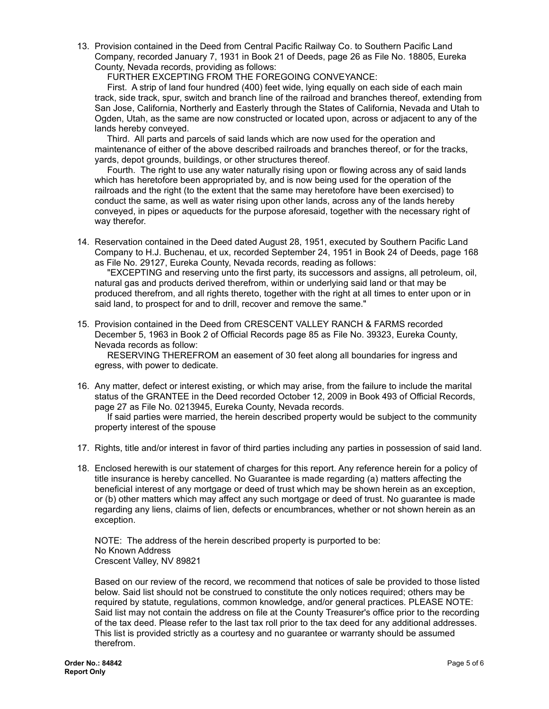13. Provision contained in the Deed from Central Pacific Railway Co. to Southern Pacific Land Company, recorded January 7, 1931 in Book 21 of Deeds, page 26 as File No. 18805, Eureka County, Nevada records, providing as follows:

FURTHER EXCEPTING FROM THE FOREGOING CONVEYANCE:

First. A strip of land four hundred (400) feet wide, lying equally on each side of each main track, side track, spur, switch and branch line of the railroad and branches thereof, extending from San Jose, California, Northerly and Easterly through the States of California, Nevada and Utah to Ogden, Utah, as the same are now constructed or located upon, across or adjacent to any of the lands hereby conveyed.

Third. All parts and parcels of said lands which are now used for the operation and maintenance of either of the above described railroads and branches thereof, or for the tracks, yards, depot grounds, buildings, or other structures thereof.

Fourth. The right to use any water naturally rising upon or flowing across any of said lands which has heretofore been appropriated by, and is now being used for the operation of the railroads and the right (to the extent that the same may heretofore have been exercised) to conduct the same, as well as water rising upon other lands, across any of the lands hereby conveyed, in pipes or aqueducts for the purpose aforesaid, together with the necessary right of way therefor.

14. Reservation contained in the Deed dated August 28, 1951, executed by Southern Pacific Land Company to H.J. Buchenau, et ux, recorded September 24, 1951 in Book 24 of Deeds, page 168 as File No. 29127, Eureka County, Nevada records, reading as follows:

"EXCEPTING and reserving unto the first party, its successors and assigns, all petroleum, oil, natural gas and products derived therefrom, within or underlying said land or that may be produced therefrom, and all rights thereto, together with the right at all times to enter upon or in said land, to prospect for and to drill, recover and remove the same."

15. Provision contained in the Deed from CRESCENT VALLEY RANCH & FARMS recorded December 5, 1963 in Book 2 of Official Records page 85 as File No. 39323, Eureka County, Nevada records as follow:

RESERVING THEREFROM an easement of 30 feet along all boundaries for ingress and egress, with power to dedicate.

16. Any matter, defect or interest existing, or which may arise, from the failure to include the marital status of the GRANTEE in the Deed recorded October 12, 2009 in Book 493 of Official Records, page 27 as File No. 0213945, Eureka County, Nevada records.

If said parties were married, the herein described property would be subject to the community property interest of the spouse

- 17. Rights, title and/or interest in favor of third parties including any parties in possession of said land.
- 18. Enclosed herewith is our statement of charges for this report. Any reference herein for a policy of title insurance is hereby cancelled. No Guarantee is made regarding (a) matters affecting the beneficial interest of any mortgage or deed of trust which may be shown herein as an exception, or (b) other matters which may affect any such mortgage or deed of trust. No guarantee is made regarding any liens, claims of lien, defects or encumbrances, whether or not shown herein as an exception.

NOTE: The address of the herein described property is purported to be: No Known Address Crescent Valley, NV 89821

Based on our review of the record, we recommend that notices of sale be provided to those listed below. Said list should not be construed to constitute the only notices required; others may be required by statute, regulations, common knowledge, and/or general practices. PLEASE NOTE: Said list may not contain the address on file at the County Treasurer's office prior to the recording of the tax deed. Please refer to the last tax roll prior to the tax deed for any additional addresses. This list is provided strictly as a courtesy and no guarantee or warranty should be assumed therefrom.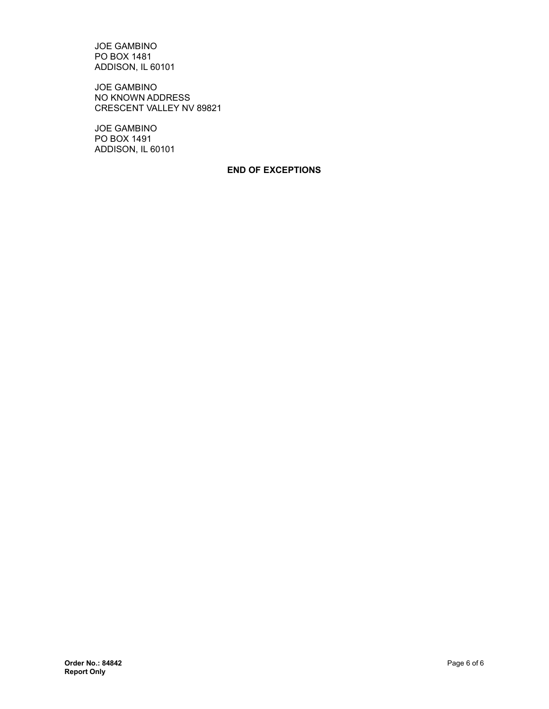JOE GAMBINO PO BOX 1481 ADDISON, IL 60101

JOE GAMBINO NO KNOWN ADDRESS CRESCENT VALLEY NV 89821

JOE GAMBINO PO BOX 1491 ADDISON, IL 60101

#### **END OF EXCEPTIONS**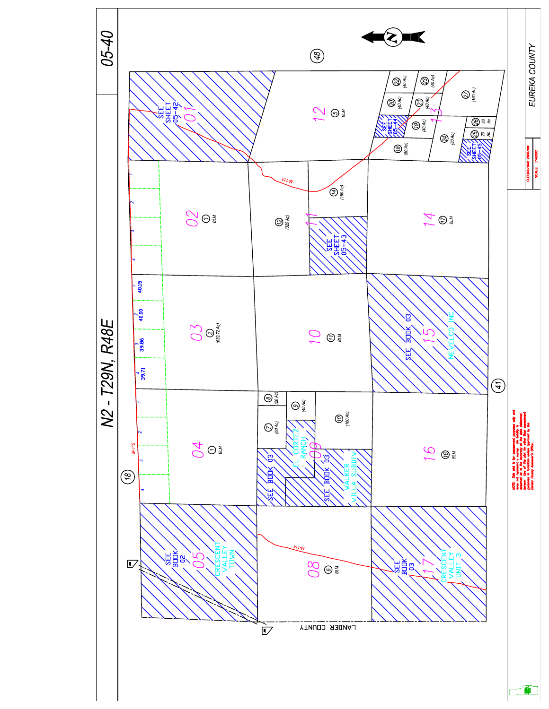